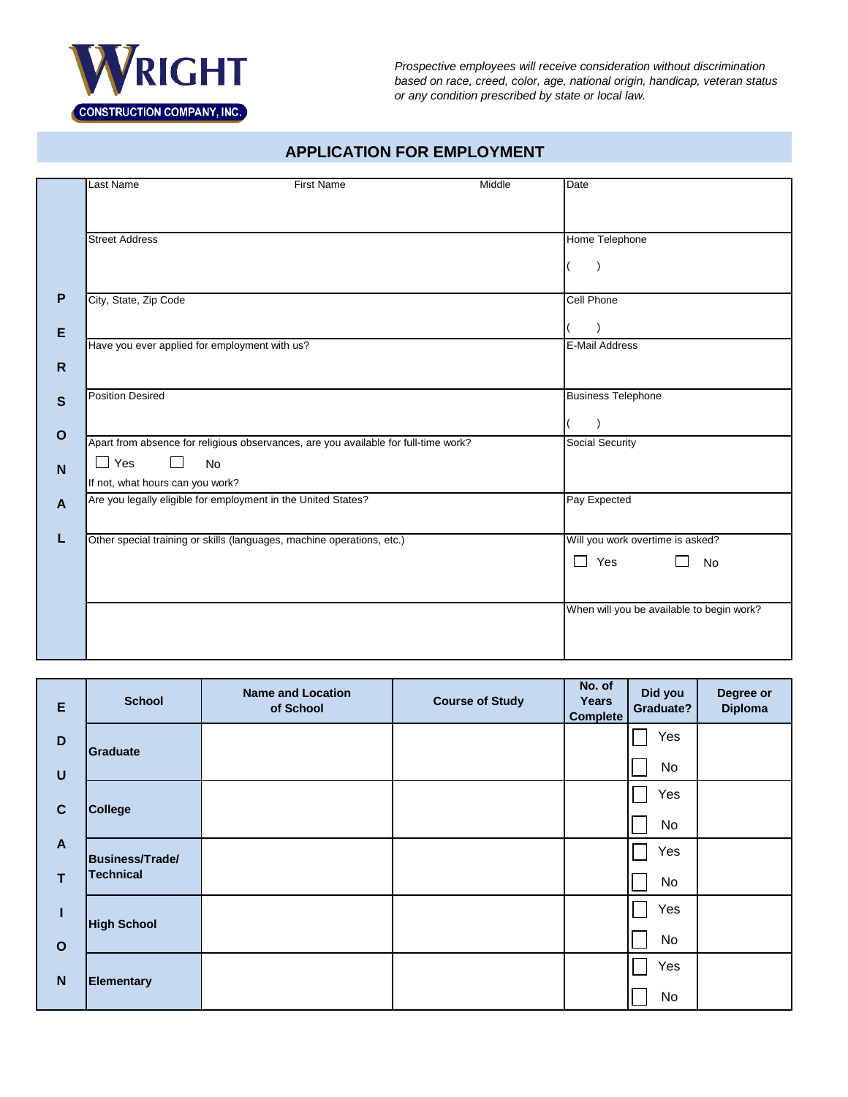

*Prospective employees will receive consideration without discrimination based on race, creed, color, age, national origin, handicap, veteran status or any condition prescribed by state or local law.*

#### **APPLICATION FOR EMPLOYMENT**

|              | Last Name                                                                           | <b>First Name</b> | Middle | <b>Date</b>                               |
|--------------|-------------------------------------------------------------------------------------|-------------------|--------|-------------------------------------------|
|              |                                                                                     |                   |        |                                           |
|              |                                                                                     |                   |        |                                           |
|              | <b>Street Address</b>                                                               |                   |        | Home Telephone                            |
|              |                                                                                     |                   |        |                                           |
|              |                                                                                     |                   |        |                                           |
| P            | City, State, Zip Code                                                               |                   |        | <b>Cell Phone</b>                         |
|              |                                                                                     |                   |        |                                           |
| E            | Have you ever applied for employment with us?                                       |                   |        | <b>E-Mail Address</b>                     |
| $\mathsf{R}$ |                                                                                     |                   |        |                                           |
|              |                                                                                     |                   |        |                                           |
| $\mathbf{s}$ | <b>Position Desired</b>                                                             |                   |        | <b>Business Telephone</b>                 |
|              |                                                                                     |                   |        |                                           |
| $\mathbf{o}$ | Apart from absence for religious observances, are you available for full-time work? |                   |        | Social Security                           |
| N            | $\Box$ Yes<br><b>No</b><br>$\Box$                                                   |                   |        |                                           |
|              | If not, what hours can you work?                                                    |                   |        |                                           |
| A            | Are you legally eligible for employment in the United States?                       |                   |        | Pay Expected                              |
|              |                                                                                     |                   |        |                                           |
|              | Other special training or skills (languages, machine operations, etc.)              |                   |        | Will you work overtime is asked?          |
|              |                                                                                     |                   |        | $\Box$ Yes<br>No                          |
|              |                                                                                     |                   |        |                                           |
|              |                                                                                     |                   |        | When will you be available to begin work? |
|              |                                                                                     |                   |        |                                           |
|              |                                                                                     |                   |        |                                           |
|              |                                                                                     |                   |        |                                           |

| E            | <b>School</b>          | <b>Name and Location</b><br>of School | <b>Course of Study</b> | No. of<br>Years<br><b>Complete</b> | Did you<br>Graduate? | Degree or<br><b>Diploma</b> |
|--------------|------------------------|---------------------------------------|------------------------|------------------------------------|----------------------|-----------------------------|
| $\mathbf D$  | Graduate               |                                       |                        |                                    | Yes                  |                             |
| $\cup$       |                        |                                       |                        |                                    | No                   |                             |
| $\mathbf{C}$ | College                |                                       |                        |                                    | Yes                  |                             |
|              |                        |                                       |                        |                                    | No                   |                             |
| $\mathbf{A}$ | <b>Business/Trade/</b> |                                       |                        |                                    | Yes                  |                             |
| $\mathsf{T}$ | <b>Technical</b>       |                                       |                        |                                    | No                   |                             |
| Т            | <b>High School</b>     |                                       |                        |                                    | Yes                  |                             |
| $\mathbf{o}$ |                        |                                       |                        |                                    | No                   |                             |
| $\mathbf N$  | <b>Elementary</b>      |                                       |                        |                                    | Yes                  |                             |
|              |                        |                                       |                        |                                    | No                   |                             |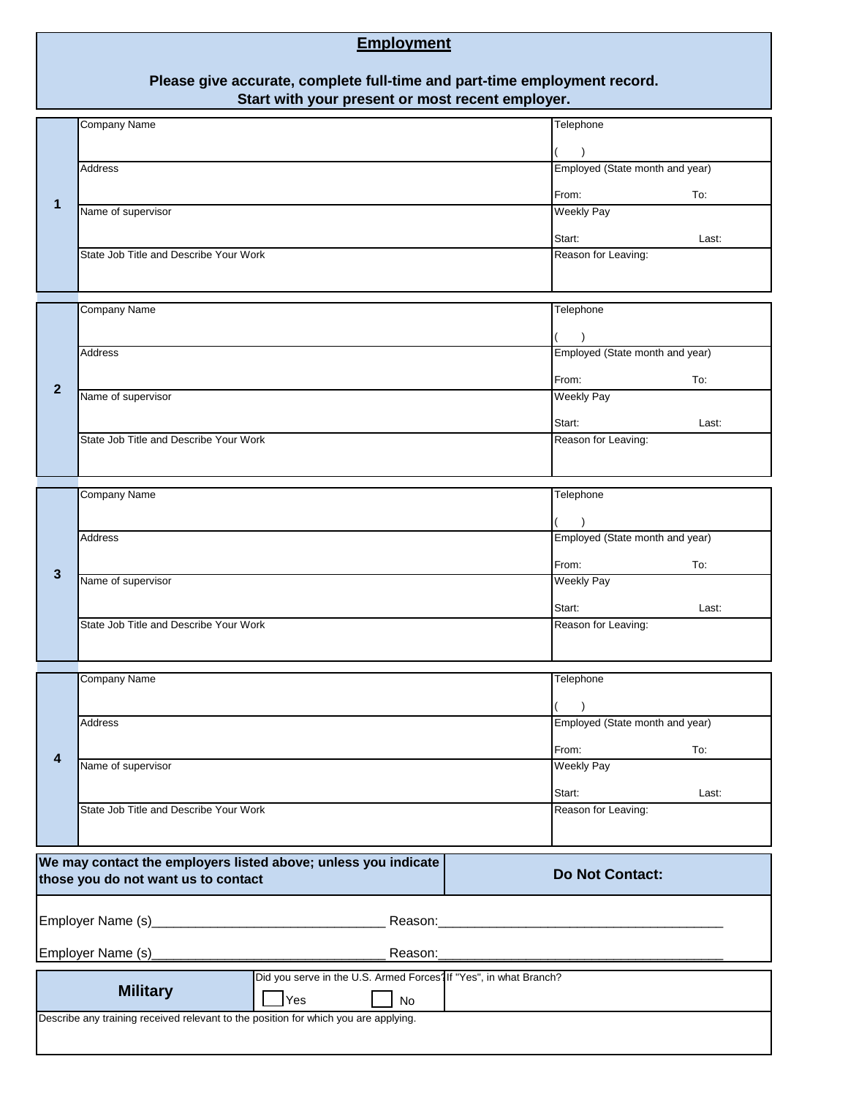# **Employment**

#### **Please give accurate, complete full-time and part-time employment record. Start with your present or most recent employer.**

| 1                                                                                                                               | <b>Company Name</b>                    |  |  |                                              | Telephone                       |       |
|---------------------------------------------------------------------------------------------------------------------------------|----------------------------------------|--|--|----------------------------------------------|---------------------------------|-------|
|                                                                                                                                 |                                        |  |  |                                              | $\lambda$                       |       |
|                                                                                                                                 | Address                                |  |  |                                              | Employed (State month and year) |       |
|                                                                                                                                 |                                        |  |  |                                              |                                 |       |
|                                                                                                                                 | Name of supervisor                     |  |  |                                              | From:<br><b>Weekly Pay</b>      | To:   |
|                                                                                                                                 |                                        |  |  |                                              |                                 |       |
|                                                                                                                                 |                                        |  |  |                                              | Start:                          | Last: |
|                                                                                                                                 | State Job Title and Describe Your Work |  |  |                                              | Reason for Leaving:             |       |
|                                                                                                                                 |                                        |  |  |                                              |                                 |       |
|                                                                                                                                 | <b>Company Name</b>                    |  |  |                                              | Telephone                       |       |
|                                                                                                                                 |                                        |  |  |                                              |                                 |       |
|                                                                                                                                 | <b>Address</b>                         |  |  |                                              | Employed (State month and year) |       |
|                                                                                                                                 |                                        |  |  |                                              |                                 |       |
| $\overline{2}$                                                                                                                  | Name of supervisor                     |  |  |                                              | From:<br><b>Weekly Pay</b>      | To:   |
|                                                                                                                                 |                                        |  |  |                                              |                                 |       |
|                                                                                                                                 |                                        |  |  |                                              | Start:                          | Last: |
|                                                                                                                                 | State Job Title and Describe Your Work |  |  |                                              | Reason for Leaving:             |       |
|                                                                                                                                 |                                        |  |  |                                              |                                 |       |
|                                                                                                                                 | <b>Company Name</b>                    |  |  |                                              | Telephone                       |       |
|                                                                                                                                 |                                        |  |  |                                              |                                 |       |
|                                                                                                                                 | Address                                |  |  | $\lambda$<br>Employed (State month and year) |                                 |       |
|                                                                                                                                 |                                        |  |  |                                              |                                 |       |
| 3                                                                                                                               |                                        |  |  |                                              | From:                           | To:   |
|                                                                                                                                 | Name of supervisor                     |  |  |                                              | <b>Weekly Pay</b>               |       |
|                                                                                                                                 |                                        |  |  |                                              | Start:                          | Last: |
|                                                                                                                                 | State Job Title and Describe Your Work |  |  |                                              | Reason for Leaving:             |       |
|                                                                                                                                 |                                        |  |  |                                              |                                 |       |
|                                                                                                                                 | <b>Company Name</b>                    |  |  |                                              | Telephone                       |       |
|                                                                                                                                 |                                        |  |  |                                              |                                 |       |
|                                                                                                                                 |                                        |  |  |                                              |                                 |       |
|                                                                                                                                 | Address                                |  |  |                                              | Employed (State month and year) |       |
| 4                                                                                                                               |                                        |  |  |                                              | From:                           | To:   |
|                                                                                                                                 | Name of supervisor                     |  |  |                                              | <b>Weekly Pay</b>               |       |
|                                                                                                                                 |                                        |  |  |                                              | Start:                          | Last: |
|                                                                                                                                 | State Job Title and Describe Your Work |  |  | Reason for Leaving:                          |                                 |       |
|                                                                                                                                 |                                        |  |  |                                              |                                 |       |
|                                                                                                                                 |                                        |  |  |                                              |                                 |       |
| We may contact the employers listed above; unless you indicate<br><b>Do Not Contact:</b><br>those you do not want us to contact |                                        |  |  |                                              |                                 |       |
|                                                                                                                                 |                                        |  |  |                                              |                                 |       |
|                                                                                                                                 |                                        |  |  |                                              |                                 |       |
|                                                                                                                                 |                                        |  |  |                                              |                                 |       |
| Employer Name (s)<br>Reason:                                                                                                    |                                        |  |  |                                              |                                 |       |
| Did you serve in the U.S. Armed Forces <sup>1</sup> If "Yes", in what Branch?                                                   |                                        |  |  |                                              |                                 |       |
| <b>Military</b><br>Yes<br>No                                                                                                    |                                        |  |  |                                              |                                 |       |
| Describe any training received relevant to the position for which you are applying.                                             |                                        |  |  |                                              |                                 |       |
|                                                                                                                                 |                                        |  |  |                                              |                                 |       |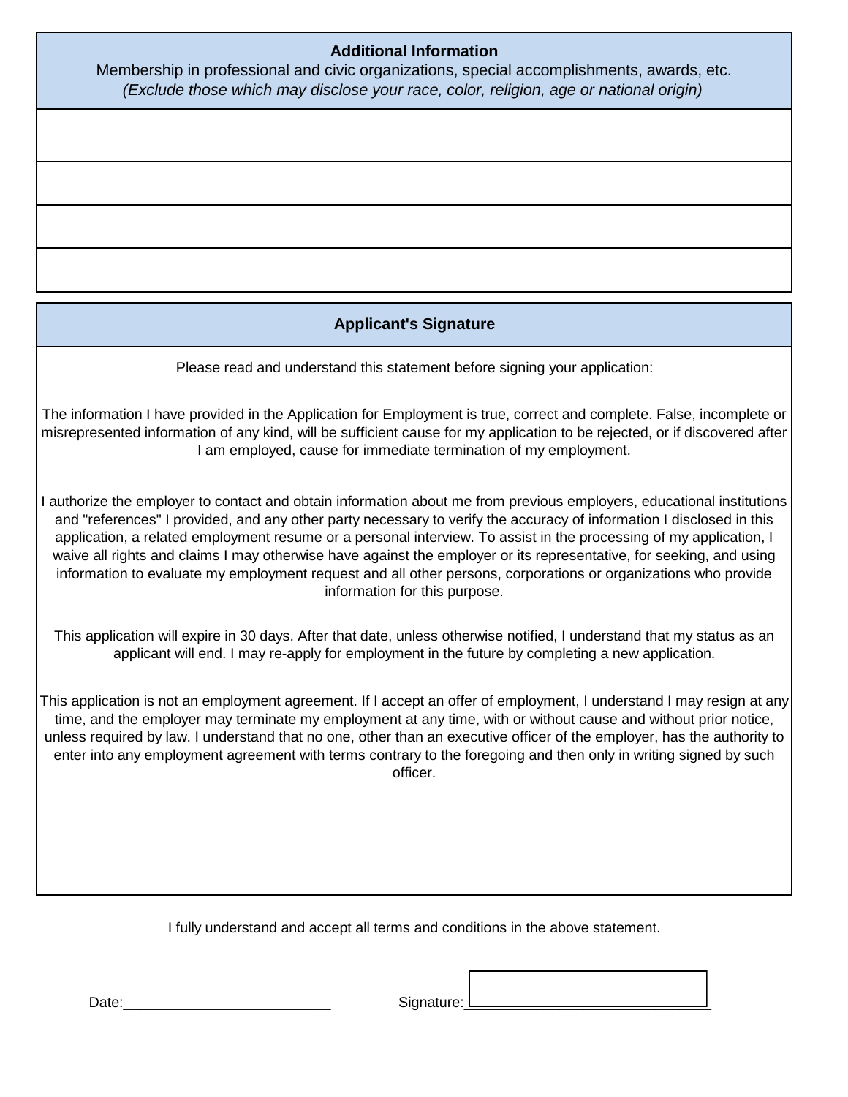## **Additional Information**

Membership in professional and civic organizations, special accomplishments, awards, etc. *(Exclude those which may disclose your race, color, religion, age or national origin)*

# **Applicant's Signature**

Please read and understand this statement before signing your application:

The information I have provided in the Application for Employment is true, correct and complete. False, incomplete or misrepresented information of any kind, will be sufficient cause for my application to be rejected, or if discovered after I am employed, cause for immediate termination of my employment.

I authorize the employer to contact and obtain information about me from previous employers, educational institutions and "references" I provided, and any other party necessary to verify the accuracy of information I disclosed in this application, a related employment resume or a personal interview. To assist in the processing of my application, I waive all rights and claims I may otherwise have against the employer or its representative, for seeking, and using information to evaluate my employment request and all other persons, corporations or organizations who provide information for this purpose.

This application will expire in 30 days. After that date, unless otherwise notified, I understand that my status as an applicant will end. I may re-apply for employment in the future by completing a new application.

This application is not an employment agreement. If I accept an offer of employment, I understand I may resign at any time, and the employer may terminate my employment at any time, with or without cause and without prior notice, unless required by law. I understand that no one, other than an executive officer of the employer, has the authority to enter into any employment agreement with terms contrary to the foregoing and then only in writing signed by such officer.

I fully understand and accept all terms and conditions in the above statement.

Date:\_\_\_\_\_\_\_\_\_\_\_\_\_\_\_\_\_\_\_\_\_\_\_\_\_\_ Signature:\_\_\_\_\_\_\_\_\_\_\_\_\_\_\_\_\_\_\_\_\_\_\_\_\_\_\_\_\_\_\_